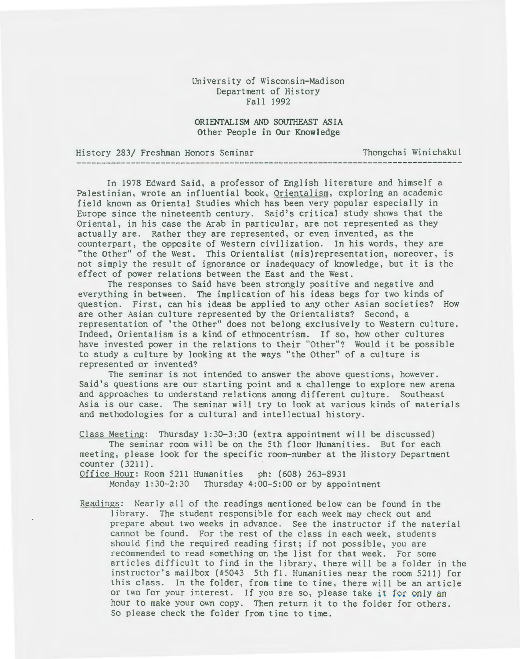University of Wisconsin-Madison Department of History Fall 1992

ORIENTALISM AND SOUTHEAST ASIA Other People in Our Knowledge

History 283/ Freshman Honors Seminar Thongchai Winichakul

In 1978 Edward Said, a professor of English literature and himself a Palestinian, wrote an influential book, Orientalism, exploring an academic field knovm as Oriental Studies which has been very popular especially in Europe since the nineteenth century. Said's critical study shows that the Oriental, in his case the Arab in particular, are not represented as they actually are. Rather they are represented, or even invented, as the counterpart, the opposite of Western civilization. In his words, they are "the Other" of the West. This Orientalist (mis)representation, moreover, is not simply the result of ignorance or inadequacy of knowledge, but it is the effect of power relations between the East and the West.

The responses to Said have been strongly positive and negative and everything in between. The implication of his ideas begs for two kinds of question. First, can his ideas be applied to any other Asian societies? How are other Asian culture represented by the Orientalists? Second, a representation of 'the Other" does not belong exclusively to Western culture. Indeed, Orientalism is a kind of ethnocentrism. If so, how other cultures have invested power in the relations to their "Other"? Would it be possible to study a culture by looking at the ways "the Other" of a culture is represented or invented?

The seminar is not intended to answer the above questions, however. Said's questions are our starting point and a challenge to explore new arena and approaches to understand relations among different culture. Southeast Asia is our case. The seminar will try to look at various kinds of materials and methodologies for a cultural and intellectual history.

Class Meeting: Thursday 1:30-3:30 (extra appointment will be discussed)

The seminar room will be on the 5th floor Humanities. But for each meeting, please look for the specific room-number at the History Department counter (3211).

Office Hour: Room 5211 Humanities ph: (608) 263-8931

Monday 1:30-2:30 Thursday 4:00-5:00 or by appointment

Readings: Nearly all of the readings mentioned below can be found in the library. The student responsible for each week may check out and prepare about two weeks in advance. See the instructor if the material cannot be found. For the rest of the class in each week, students should find the required reading first; if not possible, you are recommended to read something on the list for that week. For some articles difficult to find in the library, there will be a folder in the instructor's mailbox (#5043 5th fl. Humanities near the room 5211) for this class. In the folder, from time to time, there will be an article or two for your interest. If you are so, please take it for only an hour to make your own copy. Then return it to the folder for others. So please check the folder from time to time.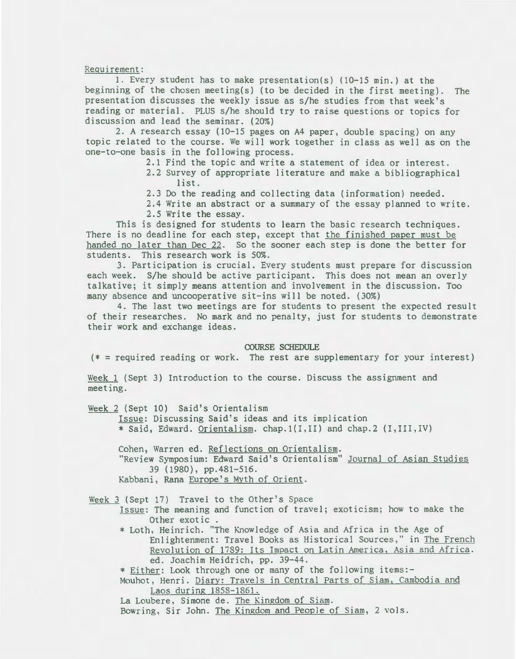## Requirement:

1. Every student has to make presentation(s) (10-15 min.) at the beginning of the chosen meeting(s) (to be decided in the first meeting). The presentation discusses the weekly issue as s/he studies from that week's reading or material. PLUS s/he should try to raise questions or topics for discussion and lead the seminar. (20%)

2. A research essay (10-15 pages on A4 paper, double spacing) on any topic related to the course. We will work together in class as well as on the one-to-one basis in the following process.

- 2.1 Find the topic and write a statement of idea or interest.
- 2.2 Survey of appropriate literature and make a bibliographical list.
- 2.3 Do the reading and collecting data (information) needed.
- 2.4 Write an abstract or a summary of the essay planned to write. 2.5 Write the essay.

This is designed for students to learn the basic research techniques. There is no deadline for each step, except that the finished paper must be handed no later than Dec 22. So the sooner each step is done the better for students. This research work is 50%.

3. Participation is crucial. Every students must prepare for discussion each week. S/he should be active participant. This does not mean an overly talkative; it simply means attention and involvement in the discussion. Too many absence and uncooperative sit-ins will be noted. (30%)

4. The last two meetings are for students to present the expected result of their researches. No mark and no penalty, just for students to demonstrate their work and exchange ideas.

## COURSE SCHEDULE

 $(* = required reading or work.$  The rest are supplementary for your interest)

Week 1 (Sept 3) Introduction to the course. Discuss the assignment and meeting.

Week 2 (Sept 10) Said's Orientalism

Issue: Discussing Said's ideas and its implication

\*Said, Edward. Orientalism. chap.1(I,II) and chap.2 (I,III,IV)

Cohen, Warren ed. Reflections on Orientalism.

"Review Symposium: Edward Said's Orientalism" Journal of Asian Studies 39 (1980), pp.481-516.

Kabbani, Rana Europe's Myth of Orient.

Week 3 (Sept 17) Travel to the Other's Space

- Issue: The meaning and function of travel; exoticism; how to make the Other exotic .<br>\* Loth, Heinrich. "The Knowledge of Asia and Africa in the Age of
- Enlightenment: Travel Books as Historical Sources," in The French Revolution of 1789: Its Impact on Latin America, Asia and Africa. ed. Joachim Heidrich, pp. 39-44.

\* Either: Look through one or many of the following items:-

Mouhot, Henri. Diary: Travels in Central Parts of Siam, Cambodia and Laos during 1858-1861.

La Loubere, Simone de. The Kingdom of Siam.

Bowring, Sir John. The Kingdom and People of Siam, 2 vols.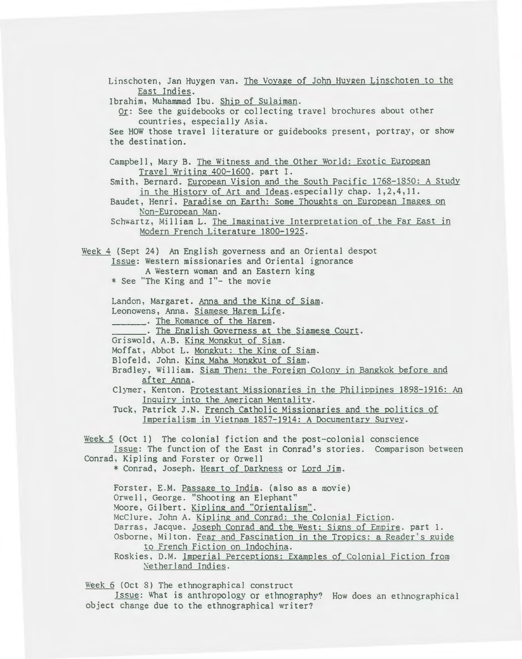Linschoten, Jan Huygen van. The Voyage of John Huygen Linschoten to the East Indies.

Ibrahim, Muhammad Ibu. Ship of Sulaiman.

Or: See the guidebooks or collecting travel brochures about other countries, especially Asia.

See HOW those travel literature or guidebooks present, portray, or show the destination.

Campbell, Mary B. The Witness and the Other World: Exotic European Travel Writing 400-1600. part I.

Smith, Bernard. European Vision and the South Pacific 1768-1850: A Study in the History of Art and Ideas.especially chap. 1,2,4,11.

Baudet, Henri. Paradise on Earth: Some Thoughts on European Images on Non-European Man.

Schwartz, Milliam L. The Imaginative Interpretation of the Far East in Modern French Literature 1800-1925.

Week 4 (Sept 24) An English governess and an Oriental despot

Issue: Western missionaries and Oriental ignorance A Western woman and an Eastern king

\* See "The King and I"- the movie

Landon, Margaret. Anna and the King of Siam.

Leonowens, Anna. Siamese Harem Life. \_\_\_\_\_\_\_ . The Romance of the Harem .

. The English Governess at the Siamese Court.

Griswold, A.B. King Mongkut of Siam.

Moffat, Abbot L. Mongkut: the King of Siam.

Blofeld, John. King Maha Mongkut of Siam.

Bradley, William. Siam Then: the Foreign Colony in Bangkok before and after Anna.

Clymer, Kenton. Protestant Missionaries in the Philippines 1898-1916: An Inquiry into the American Mentality.

Tuck, Patrick J.N. French Catholic Missionaries and the politics of Imperialism in Vietnam 1857-1914: A Documentary Survey.

Week 5 (Oct 1) The colonial fiction and the post-colonial conscience

Issue: The function of the East in Conrad's stories. Comparison between Conrad, Kipling and Forster or Orwell \* Conrad, Joseph. Heart of Darkness or Lord Jim.

Forster, E.M. Passage to India. (also as a movie) Orwell, George. "Shooting an Elephant" Moore, Gilbert. Kipling and "Orientalism". McClure, John A. Kipling and Conrad: the Colonial Fiction. Darras, Jacque. Joseph Conrad and the West: Signs of Empire. part 1. Osborne, Milton. Fear and Fascination in the Tropics: a Reader's guide to French Fiction on Indochina. Roskies, D.M. Imperial Perceptions: Examples of Colonial Fiction from Netherland Indies.

Week 6 (Oct 8) The ethnographical construct

Issue: What is anthropology or ethnography? How does an ethnographical object change due to the ethnographical writer?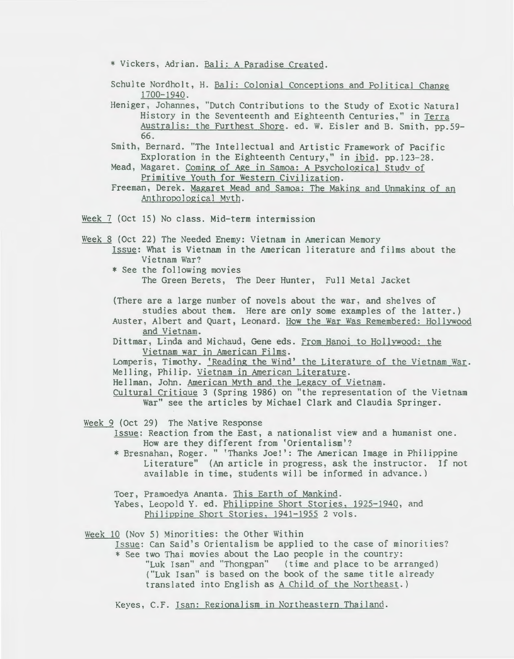\* Vickers, Adrian. Bali: A Paradise Created.

Schulte Nordholt, H. Bali: Colonial Conceptions and Political Change 1700-1940.

Heniger, Johannes, "Dutch Contributions to the Study of Exotic Natural History in the Seventeenth and Eighteenth Centuries," in Terra Australis: the Furthest Shore. ed. W. Eisler and B. Smith, pp.59- 66.

Smith, Bernard. "The Intellectual and Artistic Framework of Pacific Exploration in the Eighteenth Century," in ibid. pp.123-28.

Mead, Magaret. Coming of Age in Samoa: A Psvchological Studv of Primitive Youth for Western Civilization.

Freeman, Derek. Magaret Mead and Samoa: The Making and Unmaking of an Anthropological Myth.

Week 7 (Oct 15) No class. Mid-term intermission

Week 8 (Oct 22) The Needed Enemy: Vietnam in American Memory

Issue: What is Vietnam in the American literature and films about the Vietnam War?

\* See the following movies The Green Berets, The Deer Hunter, Full Metal Jacket

(There are a large number of novels about the war, and shelves of studies about them. Here are only some examples of the latter.)

- Auster, Albert and Quart, Leonard. How the War Was Remembered: Hollywood and Vietnam.
- Dittmar, Linda and Michaud, Gene eds. From Hanoi to Hollvwood: the Vietnam war in American Films.

Lomperis, Timothy. 'Reading the Wind' the Literature of the Vietnam War. Melling, Philip. Vietnam in American Literature.

Hellman, John. American Myth and the Legacy of Vietnam.

Cultural Critique 3 (Spring 1986) on "the representation of the Vietnam War" see the articles by Michael Clark and Claudia Springer.

Week 9 (Oct 29) The Native Response

Issue: Reaction from the East, a nationalist view and a humanist one. How are they different from 'Orientalism'?

\* Bresnahan, Roger. " 'Thanks Joe!': The American Image in Philippine Literature" (An article in progress, ask the instructor. If not available in time, students will be informed in advance.)

Toer, Pramoedya Ananta. This Earth of Mankind.

Yabes, Leopold Y. ed. Philippine Short Stories, 1925-1940, and Philippine Short Stories. 1941-1955 2 vols.

Week 10 (Nov 5) Minorities: the Other Within

Issue: Can Said's Orientalism be applied to the case of minorities?<br>\* See two Thai movies about the Lao people in the country:<br>"Luk Isan" and "Thongpan" (time and place to be arranged) ("Luk Isan" is based on the book of the same title already translated into English as A Child of the Northeast.)

Keyes, C.F. Isan: Regionalism in Northeastern Thailand.